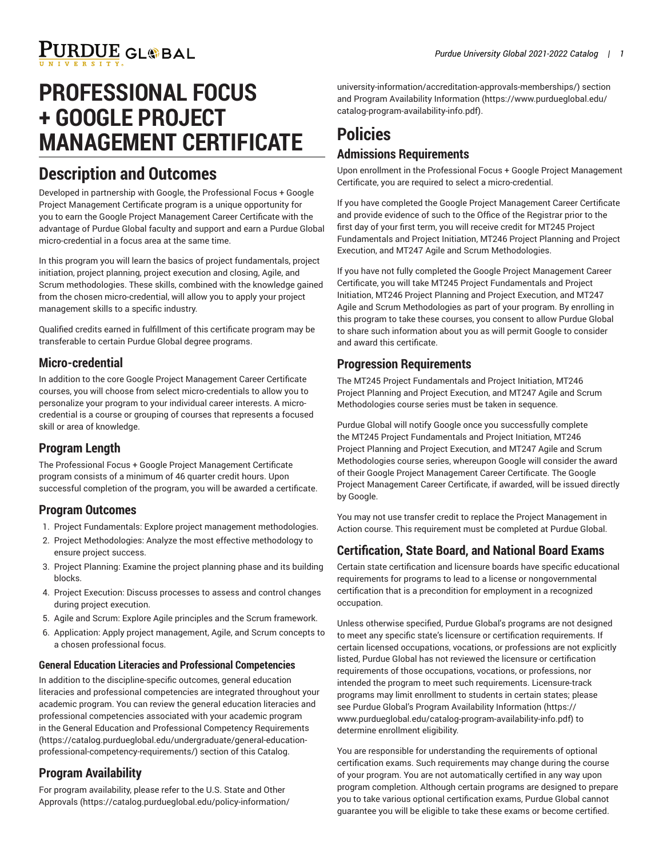# **PROFESSIONAL FOCUS + GOOGLE PROJECT MANAGEMENT CERTIFICATE**

## **Description and Outcomes**

Developed in partnership with Google, the Professional Focus + Google Project Management Certificate program is a unique opportunity for you to earn the Google Project Management Career Certificate with the advantage of Purdue Global faculty and support and earn a Purdue Global micro-credential in a focus area at the same time.

In this program you will learn the basics of project fundamentals, project initiation, project planning, project execution and closing, Agile, and Scrum methodologies. These skills, combined with the knowledge gained from the chosen micro-credential, will allow you to apply your project management skills to a specific industry.

Qualified credits earned in fulfillment of this certificate program may be transferable to certain Purdue Global degree programs.

### **Micro-credential**

In addition to the core Google Project Management Career Certificate courses, you will choose from select micro-credentials to allow you to personalize your program to your individual career interests. A microcredential is a course or grouping of courses that represents a focused skill or area of knowledge.

### **Program Length**

The Professional Focus + Google Project Management Certificate program consists of a minimum of 46 quarter credit hours. Upon successful completion of the program, you will be awarded a certificate.

## **Program Outcomes**

- 1. Project Fundamentals: Explore project management methodologies.
- 2. Project Methodologies: Analyze the most effective methodology to ensure project success.
- 3. Project Planning: Examine the project planning phase and its building blocks.
- 4. Project Execution: Discuss processes to assess and control changes during project execution.
- 5. Agile and Scrum: Explore Agile principles and the Scrum framework.
- 6. Application: Apply project management, Agile, and Scrum concepts to a chosen professional focus.

#### **General Education Literacies and Professional Competencies**

In addition to the discipline-specific outcomes, general education literacies and professional competencies are integrated throughout your academic program. You can review the general education literacies and professional competencies associated with your academic program in the General Education and Professional Competency [Requirements](https://catalog.purdueglobal.edu/undergraduate/general-education-professional-competency-requirements/) ([https://catalog.purdueglobal.edu/undergraduate/general-education](https://catalog.purdueglobal.edu/undergraduate/general-education-professional-competency-requirements/)[professional-competency-requirements/](https://catalog.purdueglobal.edu/undergraduate/general-education-professional-competency-requirements/)) section of this Catalog.

## **Program Availability**

For program availability, please refer to the [U.S. State and Other](https://catalog.purdueglobal.edu/policy-information/university-information/accreditation-approvals-memberships/) [Approvals](https://catalog.purdueglobal.edu/policy-information/university-information/accreditation-approvals-memberships/) ([https://catalog.purdueglobal.edu/policy-information/](https://catalog.purdueglobal.edu/policy-information/university-information/accreditation-approvals-memberships/) [university-information/accreditation-approvals-memberships/](https://catalog.purdueglobal.edu/policy-information/university-information/accreditation-approvals-memberships/)) section and Program Availability [Information](https://www.purdueglobal.edu/catalog-program-availability-info.pdf) ([https://www.purdueglobal.edu/](https://www.purdueglobal.edu/catalog-program-availability-info.pdf) [catalog-program-availability-info.pdf\)](https://www.purdueglobal.edu/catalog-program-availability-info.pdf).

## **Policies Admissions Requirements**

Upon enrollment in the Professional Focus + Google Project Management Certificate, you are required to select a micro-credential.

If you have completed the Google Project Management Career Certificate and provide evidence of such to the Office of the Registrar prior to the first day of your first term, you will receive credit for MT245 Project Fundamentals and Project Initiation, MT246 Project Planning and Project Execution, and MT247 Agile and Scrum Methodologies.

If you have not fully completed the Google Project Management Career Certificate, you will take MT245 Project Fundamentals and Project Initiation, MT246 Project Planning and Project Execution, and MT247 Agile and Scrum Methodologies as part of your program. By enrolling in this program to take these courses, you consent to allow Purdue Global to share such information about you as will permit Google to consider and award this certificate.

### **Progression Requirements**

The MT245 Project Fundamentals and Project Initiation, MT246 Project Planning and Project Execution, and MT247 Agile and Scrum Methodologies course series must be taken in sequence.

Purdue Global will notify Google once you successfully complete the MT245 Project Fundamentals and Project Initiation, MT246 Project Planning and Project Execution, and MT247 Agile and Scrum Methodologies course series, whereupon Google will consider the award of their Google Project Management Career Certificate. The Google Project Management Career Certificate, if awarded, will be issued directly by Google.

You may not use transfer credit to replace the Project Management in Action course. This requirement must be completed at Purdue Global.

## **Certification, State Board, and National Board Exams**

Certain state certification and licensure boards have specific educational requirements for programs to lead to a license or nongovernmental certification that is a precondition for employment in a recognized occupation.

Unless otherwise specified, Purdue Global's programs are not designed to meet any specific state's licensure or certification requirements. If certain licensed occupations, vocations, or professions are not explicitly listed, Purdue Global has not reviewed the licensure or certification requirements of those occupations, vocations, or professions, nor intended the program to meet such requirements. Licensure-track programs may limit enrollment to students in certain states; please see Purdue Global's Program Availability [Information](https://www.purdueglobal.edu/catalog-program-availability-info.pdf) ([https://](https://www.purdueglobal.edu/catalog-program-availability-info.pdf) [www.purdueglobal.edu/catalog-program-availability-info.pdf](https://www.purdueglobal.edu/catalog-program-availability-info.pdf)) to determine enrollment eligibility.

You are responsible for understanding the requirements of optional certification exams. Such requirements may change during the course of your program. You are not automatically certified in any way upon program completion. Although certain programs are designed to prepare you to take various optional certification exams, Purdue Global cannot guarantee you will be eligible to take these exams or become certified.